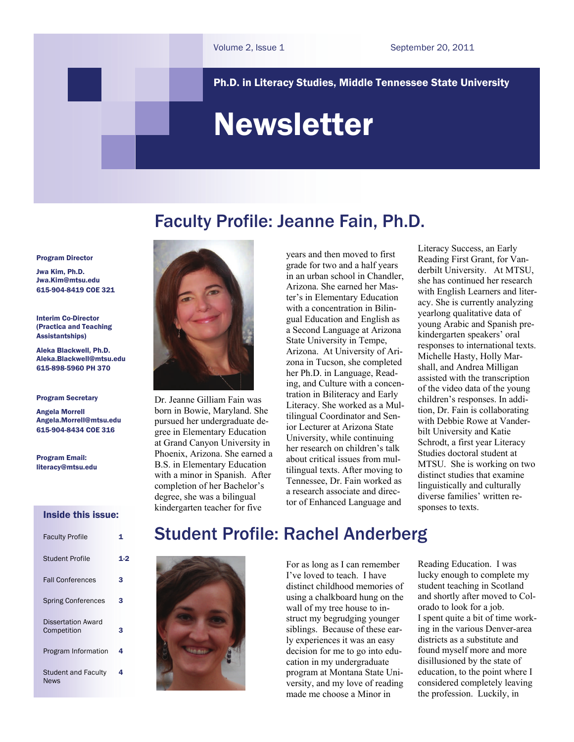### Ph.D. in Literacy Studies, Middle Tennessee State University

# Newsletter

Faculty Profile: Jeanne Fain, Ph.D.

#### Program Director

Jwa Kim, Ph.D. Jwa.Kim[@mtsu.edu](mailto:pykim@mtsu.edu)  615-904-8419 COE 321

Interim Co-Director (Practica and Teaching Assistantships)

Aleka Blackwell, Ph.D. [Aleka.Blackwell@](mailto:pykim@mtsu.edu)mtsu.edu 615-898-5960 PH 370

#### Program Secretary

Angela Morrell Angela.Morrell[@mtsu.edu](mailto:pykim@mtsu.edu) 615-904-8434 COE 316

Program Email: literacy@mtsu.edu

#### Inside this issue:

| <b>Faculty Profile</b>                    |     |
|-------------------------------------------|-----|
| <b>Student Profile</b>                    | 1.2 |
| <b>Fall Conferences</b>                   | з   |
| <b>Spring Conferences</b>                 | з   |
| Dissertation Award<br>Competition         | з   |
| Program Information                       | 4   |
| <b>Student and Faculty</b><br><b>News</b> | 4   |



Dr. Jeanne Gilliam Fain was born in Bowie, Maryland. She pursued her undergraduate degree in Elementary Education at Grand Canyon University in Phoenix, Arizona. She earned a B.S. in Elementary Education with a minor in Spanish. After completion of her Bachelor's degree, she was a bilingual kindergarten teacher for five

years and then moved to first grade for two and a half years in an urban school in Chandler, Arizona. She earned her Master's in Elementary Education with a concentration in Bilingual Education and English as a Second Language at Arizona State University in Tempe, Arizona. At University of Arizona in Tucson, she completed her Ph.D. in Language, Reading, and Culture with a concentration in Biliteracy and Early Literacy. She worked as a Multilingual Coordinator and Senior Lecturer at Arizona State University, while continuing her research on children's talk about critical issues from multilingual texts. After moving to Tennessee, Dr. Fain worked as a research associate and director of Enhanced Language and

Literacy Success, an Early Reading First Grant, for Vanderbilt University. At MTSU, she has continued her research with English Learners and literacy. She is currently analyzing yearlong qualitative data of young Arabic and Spanish prekindergarten speakers' oral responses to international texts. Michelle Hasty, Holly Marshall, and Andrea Milligan assisted with the transcription of the video data of the young children's responses. In addition, Dr. Fain is collaborating with Debbie Rowe at Vanderbilt University and Katie Schrodt, a first year Literacy Studies doctoral student at MTSU. She is working on two distinct studies that examine linguistically and culturally diverse families' written responses to texts.

# Student Profile: Rachel Anderberg



For as long as I can remember I've loved to teach. I have distinct childhood memories of using a chalkboard hung on the wall of my tree house to instruct my begrudging younger siblings. Because of these early experiences it was an easy decision for me to go into education in my undergraduate program at Montana State University, and my love of reading made me choose a Minor in

Reading Education. I was lucky enough to complete my student teaching in Scotland and shortly after moved to Colorado to look for a job. I spent quite a bit of time working in the various Denver-area districts as a substitute and found myself more and more disillusioned by the state of education, to the point where I considered completely leaving the profession. Luckily, in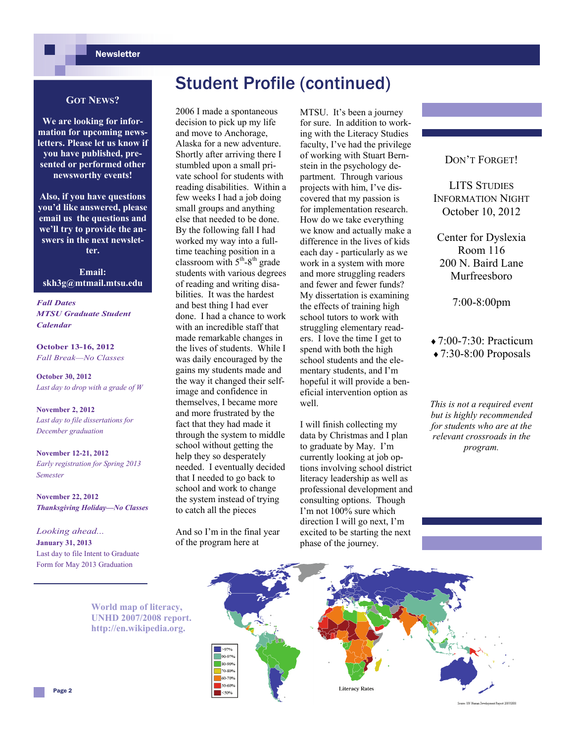## **Newsletter**

# Student Profile (continued)

2006 I made a spontaneous decision to pick up my life and move to Anchorage, Alaska for a new adventure. Shortly after arriving there I stumbled upon a small private school for students with reading disabilities. Within a few weeks I had a job doing small groups and anything else that needed to be done. By the following fall I had worked my way into a fulltime teaching position in a classroom with  $5<sup>th</sup> - 8<sup>th</sup>$  grade students with various degrees of reading and writing disabilities. It was the hardest and best thing I had ever done. I had a chance to work with an incredible staff that made remarkable changes in the lives of students. While I was daily encouraged by the gains my students made and the way it changed their selfimage and confidence in themselves, I became more and more frustrated by the fact that they had made it through the system to middle school without getting the help they so desperately needed. I eventually decided that I needed to go back to school and work to change the system instead of trying to catch all the pieces

And so I'm in the final year of the program here at

### **GOT NEWS?**

**We are looking for information for upcoming newsletters. Please let us know if you have published, presented or performed other newsworthy events!** 

**Also, if you have questions you'd like answered, please email us the questions and we'll try to provide the answers in the next newsletter.** 

**Email: skh3g@mtmail.mtsu.edu** 

*Fall Dates MTSU Graduate Student Calendar* 

**October 13-16, 2012**  *Fall Break—No Classes* 

**October 30, 2012**  *Last day to drop with a grade of W* 

**November 2, 2012**  *Last day to file dissertations for December graduation* 

**November 12-21, 2012**  *Early registration for Spring 2013 Semester* 

**November 22, 2012**  *Thanksgiving Holiday—No Classes* 

*Looking ahead...* **January 31, 2013**  Last day to file Intent to Graduate Form for May 2013 Graduation

> **World map of literacy, UNHD 2007/2008 report. http://en.wikipedia.org.**

MTSU. It's been a journey for sure. In addition to working with the Literacy Studies faculty, I've had the privilege of working with Stuart Bernstein in the psychology department. Through various projects with him, I've discovered that my passion is for implementation research. How do we take everything we know and actually make a difference in the lives of kids each day - particularly as we work in a system with more and more struggling readers and fewer and fewer funds? My dissertation is examining the effects of training high school tutors to work with struggling elementary readers. I love the time I get to spend with both the high school students and the elementary students, and I'm hopeful it will provide a beneficial intervention option as well.

I will finish collecting my data by Christmas and I plan to graduate by May. I'm currently looking at job options involving school district literacy leadership as well as professional development and consulting options. Though I'm not 100% sure which direction I will go next, I'm excited to be starting the next phase of the journey.

DON'T FORGET!

LITS STUDIES INFORMATION NIGHT October 10, 2012

Center for Dyslexia Room 116 200 N. Baird Lane Murfreesboro

7:00-8:00pm

 $\triangle$  7:00-7:30: Practicum  $\triangle$  7:30-8:00 Proposals

*This is not a required event but is highly recommended for students who are at the relevant crossroads in the program.* 

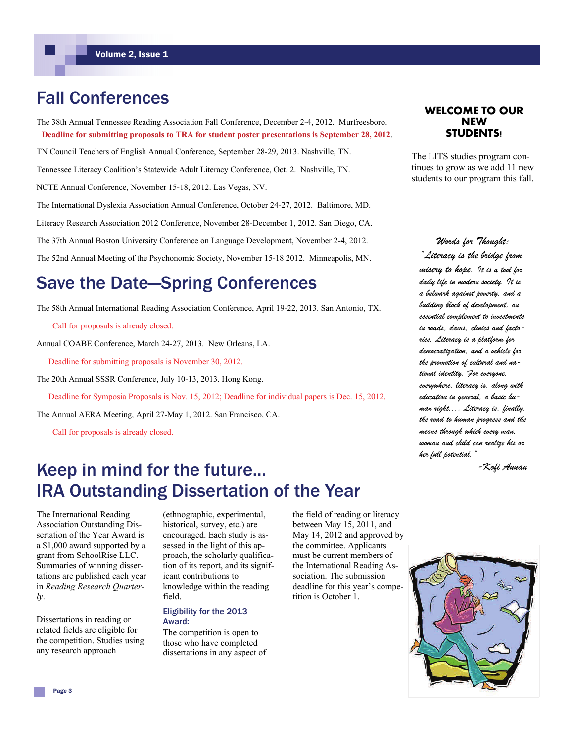# Fall Conferences

The 38th Annual Tennessee Reading Association Fall Conference, December 2-4, 2012. Murfreesboro. **Deadline for submitting proposals to TRA for student poster presentations is September 28, 2012**.

TN Council Teachers of English Annual Conference, September 28-29, 2013. Nashville, TN.

Tennessee Literacy Coalition's Statewide Adult Literacy Conference, Oct. 2. Nashville, TN.

NCTE Annual Conference, November 15-18, 2012. Las Vegas, NV.

The International Dyslexia Association Annual Conference, October 24-27, 2012. Baltimore, MD.

Literacy Research Association 2012 Conference, November 28-December 1, 2012. San Diego, CA.

The 37th Annual Boston University Conference on Language Development, November 2-4, 2012.

The 52nd Annual Meeting of the Psychonomic Society, November 15-18 2012. Minneapolis, MN.

# Save the Date—Spring Conferences

The 58th Annual International Reading Association Conference, April 19-22, 2013. San Antonio, TX.

Call for proposals is already closed.

Annual COABE Conference, March 24-27, 2013. New Orleans, LA.

Deadline for submitting proposals is November 30, 2012.

The 20th Annual SSSR Conference, July 10-13, 2013. Hong Kong.

Deadline for Symposia Proposals is Nov. 15, 2012; Deadline for individual papers is Dec. 15, 2012.

The Annual AERA Meeting, April 27-May 1, 2012. San Francisco, CA.

Call for proposals is already closed.

# Keep in mind for the future... IRA Outstanding Dissertation of the Year

The International Reading Association Outstanding Dissertation of the Year Award is a \$1,000 award supported by a grant from SchoolRise LLC. Summaries of winning dissertations are published each year in *Reading Research Quarterly*.

Dissertations in reading or related fields are eligible for the competition. Studies using any research approach

(ethnographic, experimental, historical, survey, etc.) are encouraged. Each study is assessed in the light of this approach, the scholarly qualification of its report, and its significant contributions to knowledge within the reading field.

#### Eligibility for the 2013 Award:

The competition is open to those who have completed dissertations in any aspect of the field of reading or literacy between May 15, 2011, and May 14, 2012 and approved by the committee. Applicants must be current members of the International Reading Association. The submission deadline for this year's competition is October 1.

### **WELCOME TO OUR NEW STUDENTS!**

The LITS studies program continues to grow as we add 11 new students to our program this fall.

*Words for Thought: "Literacy is the bridge from misery to hope. It is a tool for daily life in modern society. It is a bulwark against poverty, and a building block of development, an essential complement to investments in roads, dams, clinics and factories. Literacy is a platform for democratization, and a vehicle for the promotion of cultural and national identity. For everyone, everywhere, literacy is, along with education in general, a basic human right.... Literacy is, finally, the road to human progress and the means through which every man, woman and child can realize his or her full potential."* 

*-Kofi Annan*